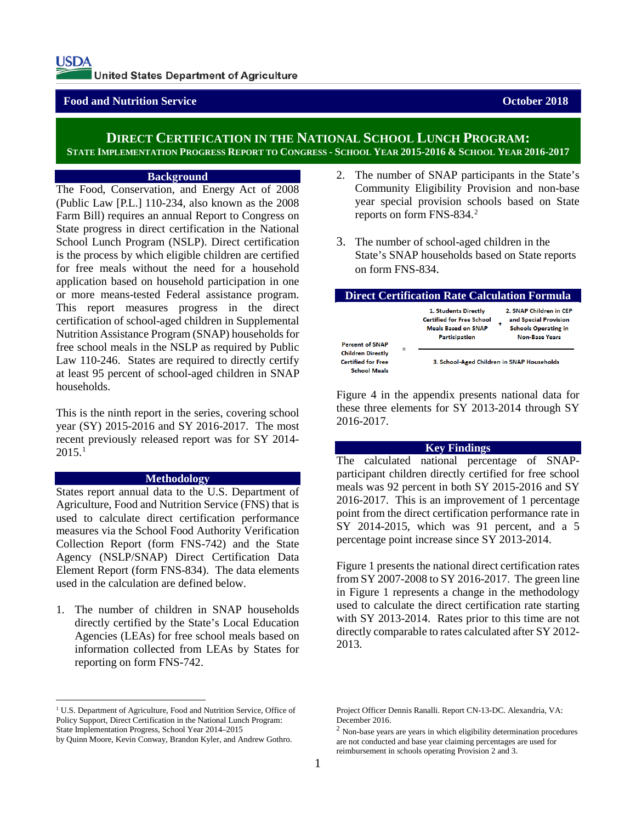# **Food and Nutrition Service <b>Contract Contract Contract Contract Contract Contract Contract Contract Contract Contract Contract Contract Contract Contract Contract Contract Contract Contract Contract Contract Contract Cont**

# **DIRECT CERTIFICATION IN THE NATIONAL SCHOOL LUNCH PROGRAM: STATE IMPLEMENTATION PROGRESS REPORT TO CONGRESS - SCHOOL YEAR 2015-2016 & SCHOOL YEAR 2016-2017**

Г

#### **Background**

The Food, Conservation, and Energy Act of 2008 (Public Law [P.L.] 110-234, also known as the 2008 Farm Bill) requires an annual Report to Congress on State progress in direct certification in the National School Lunch Program (NSLP). Direct certification is the process by which eligible children are certified for free meals without the need for a household application based on household participation in one or more means-tested Federal assistance program. This report measures progress in the direct certification of school-aged children in Supplemental Nutrition Assistance Program (SNAP) households for free school meals in the NSLP as required by Public Law 110-246. States are required to directly certify at least 95 percent of school-aged children in SNAP households.

This is the ninth report in the series, covering school year (SY) 2015-2016 and SY 2016-2017. The most recent previously released report was for SY 2014-  $2015.<sup>1</sup>$  $2015.<sup>1</sup>$  $2015.<sup>1</sup>$ 

#### **Methodology**

States report annual data to the U.S. Department of Agriculture, Food and Nutrition Service (FNS) that is used to calculate direct certification performance measures via the School Food Authority Verification Collection Report (form FNS-742) and the State Agency (NSLP/SNAP) Direct Certification Data Element Report (form FNS-834). The data elements used in the calculation are defined below.

1. The number of children in SNAP households directly certified by the State's Local Education Agencies (LEAs) for free school meals based on information collected from LEAs by States for reporting on form FNS-742.

- 2. The number of SNAP participants in the State's Community Eligibility Provision and non-base year special provision schools based on State reports on form FNS-834.[2](#page-0-1)
- 3. The number of school-aged children in the State's SNAP households based on State reports on form FNS-834.

| <b>Direct Certification Rate Calculation Formula</b>                              |                                                                                                                |                                                                                                               |  |  |  |
|-----------------------------------------------------------------------------------|----------------------------------------------------------------------------------------------------------------|---------------------------------------------------------------------------------------------------------------|--|--|--|
| <b>Percent of SNAP</b>                                                            | 1. Students Directly<br><b>Certified for Free School</b><br><b>Meals Based on SNAP</b><br><b>Participation</b> | 2. SNAP Children in CEP<br>and Special Provision<br>٠<br><b>Schools Operating in</b><br><b>Non-Base Years</b> |  |  |  |
| Ξ<br><b>Children Directly</b><br><b>Certified for Free</b><br><b>School Meals</b> | 3. School-Aged Children in SNAP Households                                                                     |                                                                                                               |  |  |  |

Figure 4 in the appendix presents national data for these three elements for SY 2013-2014 through SY 2016-2017.

### **Key Findings**

The calculated national percentage of SNAPparticipant children directly certified for free school meals was 92 percent in both SY 2015-2016 and SY 2016-2017. This is an improvement of 1 percentage point from the direct certification performance rate in SY 2014-2015, which was 91 percent, and a 5 percentage point increase since SY 2013-2014.

Figure 1 presents the national direct certification rates from SY 2007-2008 to SY 2016-2017. The green line in Figure 1 represents a change in the methodology used to calculate the direct certification rate starting with SY 2013-2014. Rates prior to this time are not directly comparable to rates calculated after SY 2012- 2013.

<span id="page-0-0"></span><sup>&</sup>lt;sup>1</sup> U.S. Department of Agriculture, Food and Nutrition Service, Office of Policy Support, Direct Certification in the National Lunch Program: State Implementation Progress, School Year 2014–2015

<span id="page-0-1"></span>by Quinn Moore, Kevin Conway, Brandon Kyler, and Andrew Gothro.

Project Officer Dennis Ranalli. Report CN-13-DC. Alexandria, VA: December 2016.

 $2$  Non-base years are years in which eligibility determination procedures are not conducted and base year claiming percentages are used for reimbursement in schools operating Provision 2 and 3.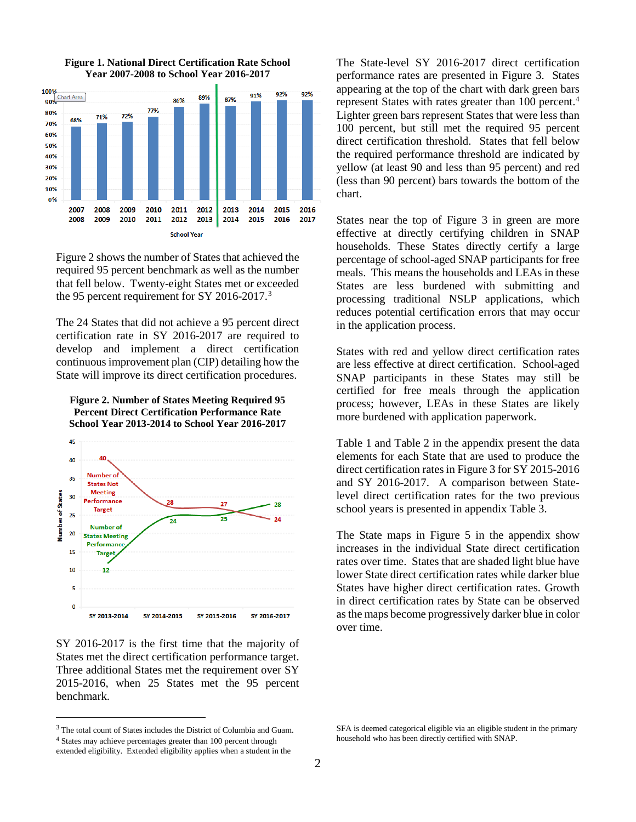

#### **Figure 1. National Direct Certification Rate School Year 2007-2008 to School Year 2016-2017**

Figure 2 shows the number of States that achieved the required 95 percent benchmark as well as the number that fell below. Twenty-eight States met or exceeded the 95 percent requirement for SY 2016-2017.[3](#page-1-0)

The 24 States that did not achieve a 95 percent direct certification rate in SY 2016-2017 are required to develop and implement a direct certification continuous improvement plan (CIP) detailing how the State will improve its direct certification procedures.

**Figure 2. Number of States Meeting Required 95 Percent Direct Certification Performance Rate School Year 2013-2014 to School Year 2016-2017**



SY 2016-2017 is the first time that the majority of States met the direct certification performance target. Three additional States met the requirement over SY 2015-2016, when 25 States met the 95 percent benchmark.

<span id="page-1-1"></span><span id="page-1-0"></span> $^3$  The total count of States includes the District of Columbia and Guam. <sup>4</sup> States may achieve percentages greater than 100 percent through

extended eligibility. Extended eligibility applies when a student in the

The State-level SY 2016-2017 direct certification performance rates are presented in Figure 3. States appearing at the top of the chart with dark green bars represent States with rates greater than 100 percent. [4](#page-1-1) Lighter green bars represent States that were less than 100 percent, but still met the required 95 percent direct certification threshold. States that fell below the required performance threshold are indicated by yellow (at least 90 and less than 95 percent) and red (less than 90 percent) bars towards the bottom of the chart.

States near the top of Figure 3 in green are more effective at directly certifying children in SNAP households. These States directly certify a large percentage of school-aged SNAP participants for free meals. This means the households and LEAs in these States are less burdened with submitting and processing traditional NSLP applications, which reduces potential certification errors that may occur in the application process.

States with red and yellow direct certification rates are less effective at direct certification. School-aged SNAP participants in these States may still be certified for free meals through the application process; however, LEAs in these States are likely more burdened with application paperwork.

Table 1 and Table 2 in the appendix present the data elements for each State that are used to produce the direct certification rates in Figure 3 for SY 2015-2016 and SY 2016-2017. A comparison between Statelevel direct certification rates for the two previous school years is presented in appendix Table 3.

The State maps in Figure 5 in the appendix show increases in the individual State direct certification rates over time. States that are shaded light blue have lower State direct certification rates while darker blue States have higher direct certification rates. Growth in direct certification rates by State can be observed as the maps become progressively darker blue in color over time.

SFA is deemed categorical eligible via an eligible student in the primary household who has been directly certified with SNAP.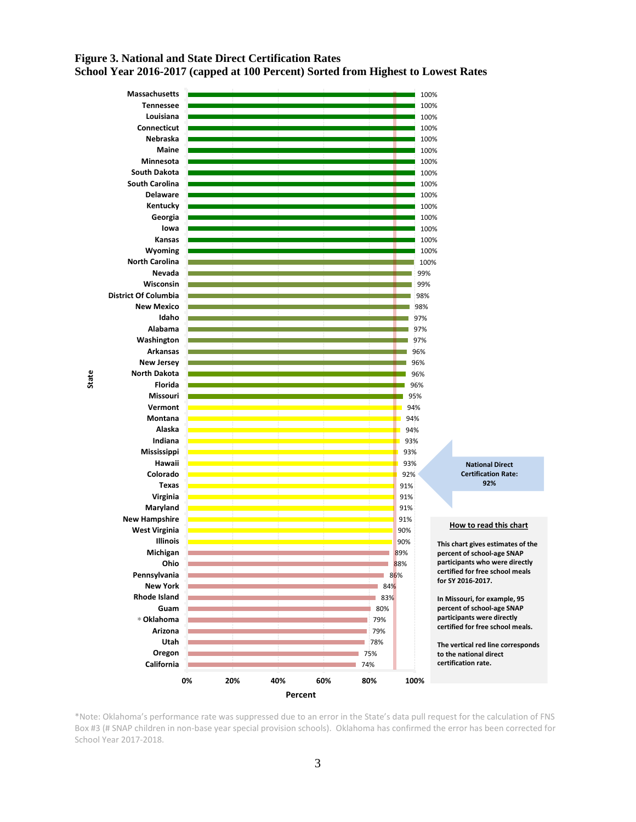# **Figure 3. National and State Direct Certification Rates School Year 2016-2017 (capped at 100 Percent) Sorted from Highest to Lowest Rates**



\*Note: Oklahoma's performance rate was suppressed due to an error in the State's data pull request for the calculation of FNS Box #3 (# SNAP children in non-base year special provision schools). Oklahoma has confirmed the error has been corrected for School Year 2017-2018.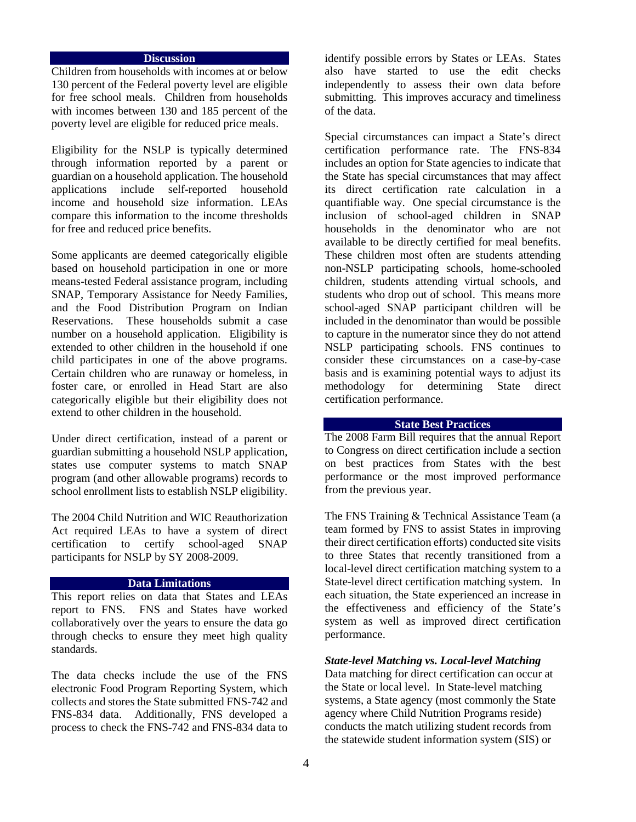#### **Discussion**

Children from households with incomes at or below 130 percent of the Federal poverty level are eligible for free school meals. Children from households with incomes between 130 and 185 percent of the poverty level are eligible for reduced price meals.

Eligibility for the NSLP is typically determined through information reported by a parent or guardian on a household application. The household applications include self-reported household income and household size information. LEAs compare this information to the income thresholds for free and reduced price benefits.

Some applicants are deemed categorically eligible based on household participation in one or more means-tested Federal assistance program, including SNAP, Temporary Assistance for Needy Families, and the Food Distribution Program on Indian Reservations. These households submit a case number on a household application. Eligibility is extended to other children in the household if one child participates in one of the above programs. Certain children who are runaway or homeless, in foster care, or enrolled in Head Start are also categorically eligible but their eligibility does not extend to other children in the household.

Under direct certification, instead of a parent or guardian submitting a household NSLP application, states use computer systems to match SNAP program (and other allowable programs) records to school enrollment lists to establish NSLP eligibility.

The 2004 Child Nutrition and WIC Reauthorization Act required LEAs to have a system of direct certification to certify school-aged SNAP participants for NSLP by SY 2008-2009.

#### **Data Limitations**

This report relies on data that States and LEAs report to FNS. FNS and States have worked collaboratively over the years to ensure the data go through checks to ensure they meet high quality standards.

The data checks include the use of the FNS electronic Food Program Reporting System, which collects and stores the State submitted FNS-742 and FNS-834 data. Additionally, FNS developed a process to check the FNS-742 and FNS-834 data to identify possible errors by States or LEAs. States also have started to use the edit checks independently to assess their own data before submitting. This improves accuracy and timeliness of the data.

Special circumstances can impact a State's direct certification performance rate. The FNS-834 includes an option for State agencies to indicate that the State has special circumstances that may affect its direct certification rate calculation in a quantifiable way. One special circumstance is the inclusion of school-aged children in SNAP households in the denominator who are not available to be directly certified for meal benefits. These children most often are students attending non-NSLP participating schools, home-schooled children, students attending virtual schools, and students who drop out of school. This means more school-aged SNAP participant children will be included in the denominator than would be possible to capture in the numerator since they do not attend NSLP participating schools. FNS continues to consider these circumstances on a case-by-case basis and is examining potential ways to adjust its methodology for determining State direct certification performance.

### **State Best Practices**

The 2008 Farm Bill requires that the annual Report to Congress on direct certification include a section on best practices from States with the best performance or the most improved performance from the previous year.

The FNS Training & Technical Assistance Team (a team formed by FNS to assist States in improving their direct certification efforts) conducted site visits to three States that recently transitioned from a local-level direct certification matching system to a State-level direct certification matching system. In each situation, the State experienced an increase in the effectiveness and efficiency of the State's system as well as improved direct certification performance.

#### *State-level Matching vs. Local-level Matching*

Data matching for direct certification can occur at the State or local level. In State-level matching systems, a State agency (most commonly the State agency where Child Nutrition Programs reside) conducts the match utilizing student records from the statewide student information system (SIS) or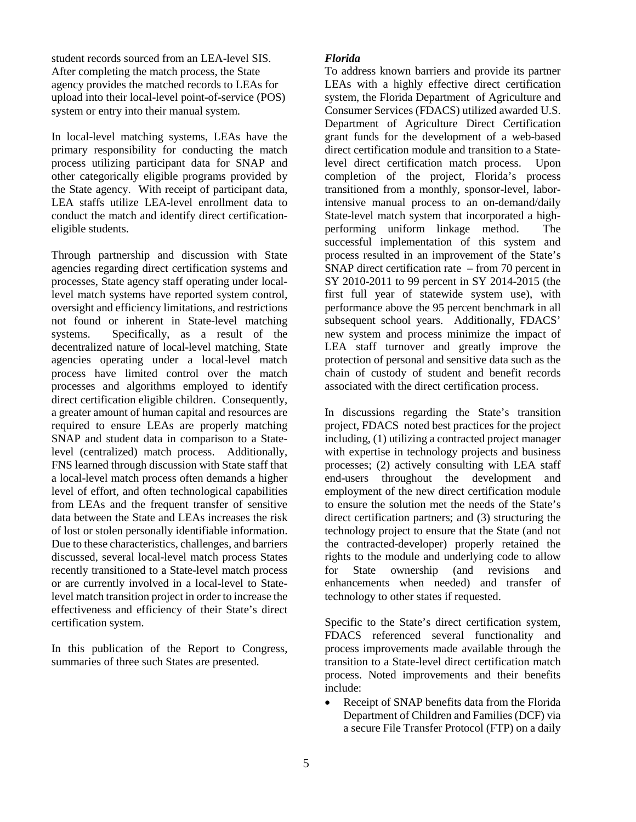student records sourced from an LEA-level SIS. After completing the match process, the State agency provides the matched records to LEAs for upload into their local-level point-of-service (POS) system or entry into their manual system.

In local-level matching systems, LEAs have the primary responsibility for conducting the match process utilizing participant data for SNAP and other categorically eligible programs provided by the State agency. With receipt of participant data, LEA staffs utilize LEA-level enrollment data to conduct the match and identify direct certificationeligible students.

Through partnership and discussion with State agencies regarding direct certification systems and processes, State agency staff operating under locallevel match systems have reported system control, oversight and efficiency limitations, and restrictions not found or inherent in State-level matching systems. Specifically, as a result of the decentralized nature of local-level matching, State agencies operating under a local-level match process have limited control over the match processes and algorithms employed to identify direct certification eligible children. Consequently, a greater amount of human capital and resources are required to ensure LEAs are properly matching SNAP and student data in comparison to a Statelevel (centralized) match process. Additionally, FNS learned through discussion with State staff that a local-level match process often demands a higher level of effort, and often technological capabilities from LEAs and the frequent transfer of sensitive data between the State and LEAs increases the risk of lost or stolen personally identifiable information. Due to these characteristics, challenges, and barriers discussed, several local-level match process States recently transitioned to a State-level match process or are currently involved in a local-level to Statelevel match transition project in order to increase the effectiveness and efficiency of their State's direct certification system.

In this publication of the Report to Congress, summaries of three such States are presented.

# *Florida*

To address known barriers and provide its partner LEAs with a highly effective direct certification system, the Florida Department of Agriculture and Consumer Services (FDACS) utilized awarded U.S. Department of Agriculture Direct Certification grant funds for the development of a web-based direct certification module and transition to a Statelevel direct certification match process. Upon completion of the project, Florida's process transitioned from a monthly, sponsor-level, laborintensive manual process to an on-demand/daily State-level match system that incorporated a highperforming uniform linkage method. The successful implementation of this system and process resulted in an improvement of the State's SNAP direct certification rate – from 70 percent in SY 2010-2011 to 99 percent in SY 2014-2015 (the first full year of statewide system use), with performance above the 95 percent benchmark in all subsequent school years. Additionally, FDACS' new system and process minimize the impact of LEA staff turnover and greatly improve the protection of personal and sensitive data such as the chain of custody of student and benefit records associated with the direct certification process.

In discussions regarding the State's transition project, FDACS noted best practices for the project including, (1) utilizing a contracted project manager with expertise in technology projects and business processes; (2) actively consulting with LEA staff end-users throughout the development and employment of the new direct certification module to ensure the solution met the needs of the State's direct certification partners; and (3) structuring the technology project to ensure that the State (and not the contracted-developer) properly retained the rights to the module and underlying code to allow for State ownership (and revisions and enhancements when needed) and transfer of technology to other states if requested.

Specific to the State's direct certification system, FDACS referenced several functionality and process improvements made available through the transition to a State-level direct certification match process. Noted improvements and their benefits include:

Receipt of SNAP benefits data from the Florida Department of Children and Families (DCF) via a secure File Transfer Protocol (FTP) on a daily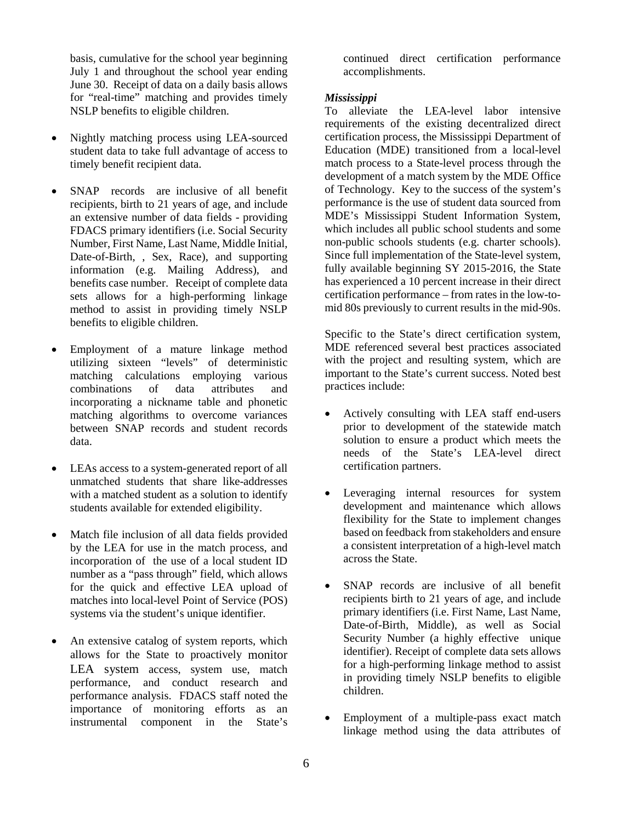basis, cumulative for the school year beginning July 1 and throughout the school year ending June 30. Receipt of data on a daily basis allows for "real-time" matching and provides timely NSLP benefits to eligible children.

- Nightly matching process using LEA-sourced student data to take full advantage of access to timely benefit recipient data.
- SNAP records are inclusive of all benefit recipients, birth to 21 years of age, and include an extensive number of data fields - providing FDACS primary identifiers (i.e. Social Security Number, First Name, Last Name, Middle Initial, Date-of-Birth, , Sex, Race), and supporting information (e.g. Mailing Address), and benefits case number. Receipt of complete data sets allows for a high-performing linkage method to assist in providing timely NSLP benefits to eligible children.
- Employment of a mature linkage method utilizing sixteen "levels" of deterministic matching calculations employing various combinations of data attributes and incorporating a nickname table and phonetic matching algorithms to overcome variances between SNAP records and student records data.
- LEAs access to a system-generated report of all unmatched students that share like-addresses with a matched student as a solution to identify students available for extended eligibility.
- Match file inclusion of all data fields provided by the LEA for use in the match process, and incorporation of the use of a local student ID number as a "pass through" field, which allows for the quick and effective LEA upload of matches into local-level Point of Service (POS) systems via the student's unique identifier.
- An extensive catalog of system reports, which allows for the State to proactively monitor LEA system access, system use, match performance, and conduct research and performance analysis. FDACS staff noted the importance of monitoring efforts as an instrumental component in the State's

continued direct certification performance accomplishments.

# *Mississippi*

To alleviate the LEA-level labor intensive requirements of the existing decentralized direct certification process, the Mississippi Department of Education (MDE) transitioned from a local-level match process to a State-level process through the development of a match system by the MDE Office of Technology. Key to the success of the system's performance is the use of student data sourced from MDE's Mississippi Student Information System, which includes all public school students and some non-public schools students (e.g. charter schools). Since full implementation of the State-level system, fully available beginning SY 2015-2016, the State has experienced a 10 percent increase in their direct certification performance – from rates in the low-tomid 80s previously to current results in the mid-90s.

Specific to the State's direct certification system, MDE referenced several best practices associated with the project and resulting system, which are important to the State's current success. Noted best practices include:

- Actively consulting with LEA staff end-users prior to development of the statewide match solution to ensure a product which meets the needs of the State's LEA-level direct certification partners.
- Leveraging internal resources for system development and maintenance which allows flexibility for the State to implement changes based on feedback from stakeholders and ensure a consistent interpretation of a high-level match across the State.
- SNAP records are inclusive of all benefit recipients birth to 21 years of age, and include primary identifiers (i.e. First Name, Last Name, Date-of-Birth, Middle), as well as Social Security Number (a highly effective unique identifier). Receipt of complete data sets allows for a high-performing linkage method to assist in providing timely NSLP benefits to eligible children.
- Employment of a multiple-pass exact match linkage method using the data attributes of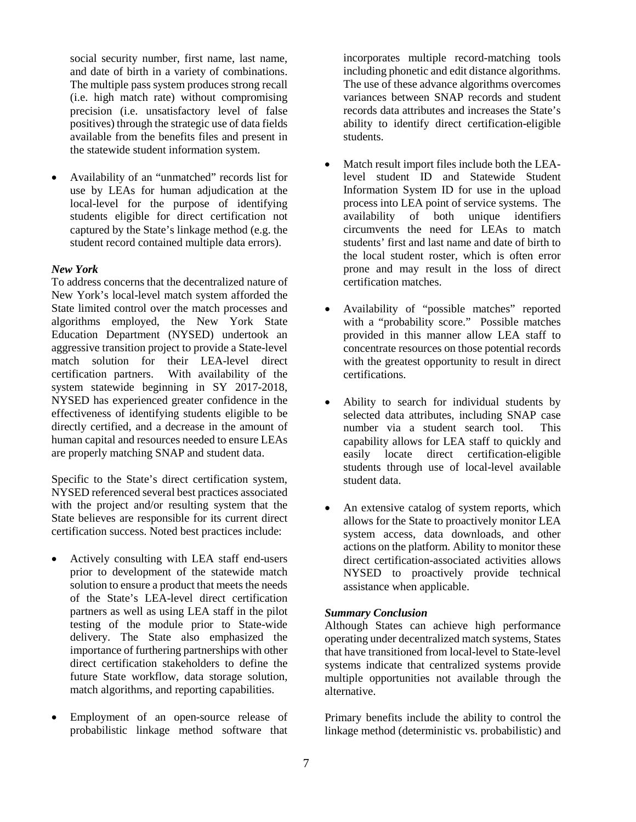social security number, first name, last name, and date of birth in a variety of combinations. The multiple pass system produces strong recall (i.e. high match rate) without compromising precision (i.e. unsatisfactory level of false positives) through the strategic use of data fields available from the benefits files and present in the statewide student information system.

• Availability of an "unmatched" records list for use by LEAs for human adjudication at the local-level for the purpose of identifying students eligible for direct certification not captured by the State's linkage method (e.g. the student record contained multiple data errors).

# *New York*

To address concerns that the decentralized nature of New York's local-level match system afforded the State limited control over the match processes and algorithms employed, the New York State Education Department (NYSED) undertook an aggressive transition project to provide a State-level match solution for their LEA-level direct certification partners. With availability of the system statewide beginning in SY 2017-2018, NYSED has experienced greater confidence in the effectiveness of identifying students eligible to be directly certified, and a decrease in the amount of human capital and resources needed to ensure LEAs are properly matching SNAP and student data.

Specific to the State's direct certification system, NYSED referenced several best practices associated with the project and/or resulting system that the State believes are responsible for its current direct certification success. Noted best practices include:

- Actively consulting with LEA staff end-users prior to development of the statewide match solution to ensure a product that meets the needs of the State's LEA-level direct certification partners as well as using LEA staff in the pilot testing of the module prior to State-wide delivery. The State also emphasized the importance of furthering partnerships with other direct certification stakeholders to define the future State workflow, data storage solution, match algorithms, and reporting capabilities.
- Employment of an open-source release of probabilistic linkage method software that

incorporates multiple record-matching tools including phonetic and edit distance algorithms. The use of these advance algorithms overcomes variances between SNAP records and student records data attributes and increases the State's ability to identify direct certification-eligible students.

- Match result import files include both the LEAlevel student ID and Statewide Student Information System ID for use in the upload process into LEA point of service systems. The availability of both unique identifiers circumvents the need for LEAs to match students' first and last name and date of birth to the local student roster, which is often error prone and may result in the loss of direct certification matches.
- Availability of "possible matches" reported with a "probability score." Possible matches provided in this manner allow LEA staff to concentrate resources on those potential records with the greatest opportunity to result in direct certifications.
- Ability to search for individual students by selected data attributes, including SNAP case number via a student search tool. This capability allows for LEA staff to quickly and easily locate direct certification-eligible students through use of local-level available student data.
- An extensive catalog of system reports, which allows for the State to proactively monitor LEA system access, data downloads, and other actions on the platform. Ability to monitor these direct certification-associated activities allows NYSED to proactively provide technical assistance when applicable.

#### *Summary Conclusion*

Although States can achieve high performance operating under decentralized match systems, States that have transitioned from local-level to State-level systems indicate that centralized systems provide multiple opportunities not available through the alternative.

Primary benefits include the ability to control the linkage method (deterministic vs. probabilistic) and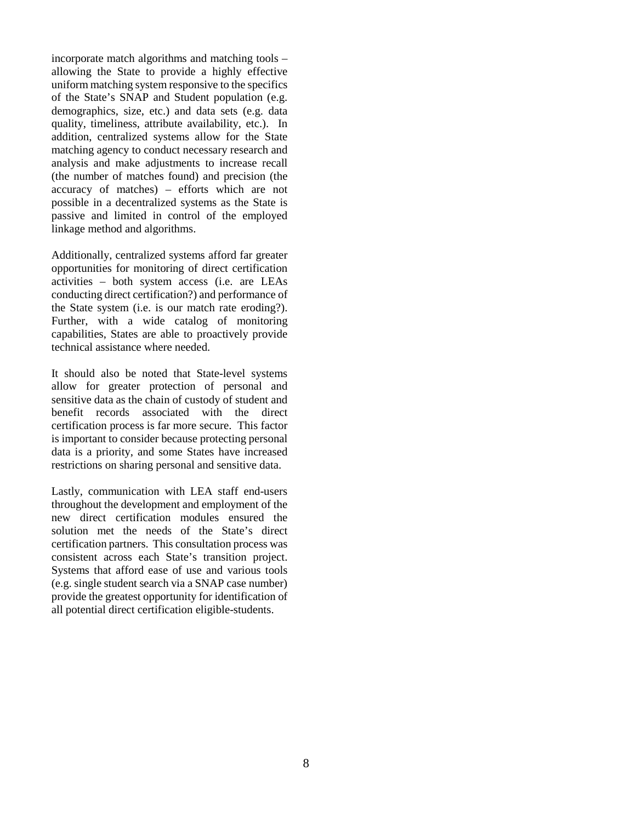incorporate match algorithms and matching tools – allowing the State to provide a highly effective uniform matching system responsive to the specifics of the State's SNAP and Student population (e.g. demographics, size, etc.) and data sets (e.g. data quality, timeliness, attribute availability, etc.). In addition, centralized systems allow for the State matching agency to conduct necessary research and analysis and make adjustments to increase recall (the number of matches found) and precision (the accuracy of matches) – efforts which are not possible in a decentralized systems as the State is passive and limited in control of the employed linkage method and algorithms.

Additionally, centralized systems afford far greater opportunities for monitoring of direct certification activities – both system access (i.e. are LEAs conducting direct certification?) and performance of the State system (i.e. is our match rate eroding?). Further, with a wide catalog of monitoring capabilities, States are able to proactively provide technical assistance where needed.

It should also be noted that State-level systems allow for greater protection of personal and sensitive data as the chain of custody of student and benefit records associated with the direct certification process is far more secure. This factor is important to consider because protecting personal data is a priority, and some States have increased restrictions on sharing personal and sensitive data.

Lastly, communication with LEA staff end-users throughout the development and employment of the new direct certification modules ensured the solution met the needs of the State's direct certification partners. This consultation process was consistent across each State's transition project. Systems that afford ease of use and various tools (e.g. single student search via a SNAP case number) provide the greatest opportunity for identification of all potential direct certification eligible-students.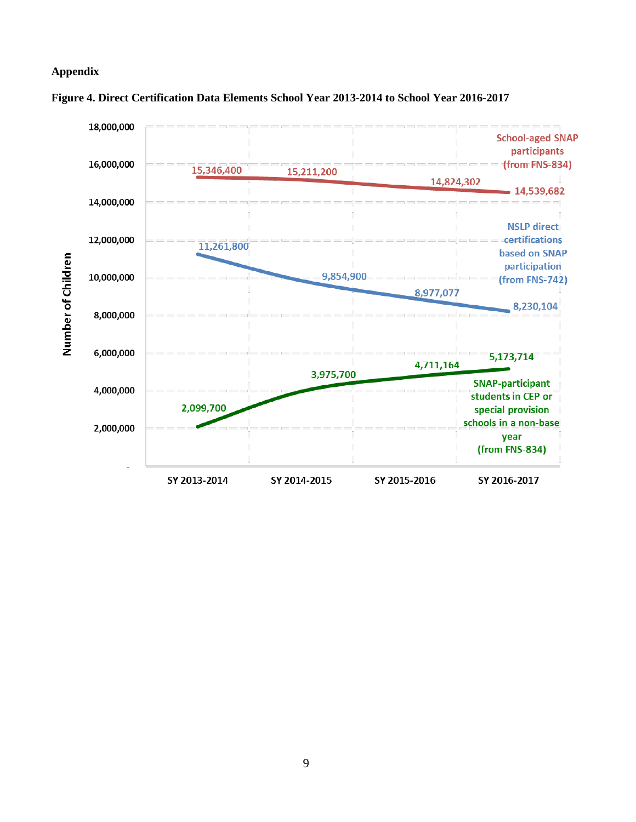# **Appendix**



# **Figure 4. Direct Certification Data Elements School Year 2013-2014 to School Year 2016-2017**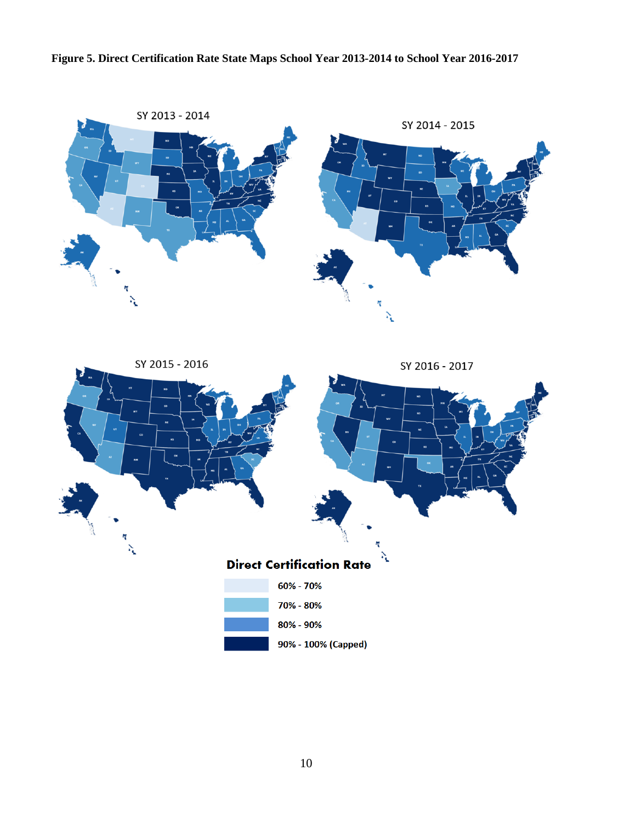# **Figure 5. Direct Certification Rate State Maps School Year 2013-2014 to School Year 2016-2017**



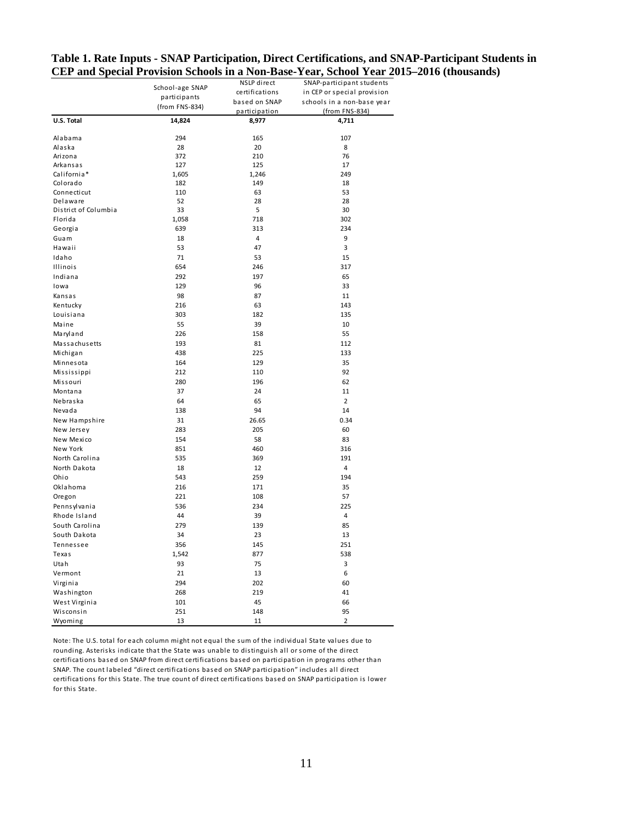|                      | School-age SNAP | NSLP direct    | SNAP-participant students   |
|----------------------|-----------------|----------------|-----------------------------|
|                      | participants    | certifications | in CEP or special provision |
|                      |                 | based on SNAP  | schools in a non-base year  |
|                      | (from FNS-834)  | participation  | (from FNS-834)              |
| U.S. Total           | 14,824          | 8,977          | 4,711                       |
| Alabama              | 294             | 165            | 107                         |
| Alaska               | 28              | 20             | 8                           |
| Arizona              | 372             | 210            | 76                          |
| Arkansas             | 127             | 125            | 17                          |
| California*          | 1,605           | 1,246          | 249                         |
| Colorado             | 182             | 149            | 18                          |
| Connecticut          | 110             | 63             | 53                          |
| Delaware             | 52              | 28             | 28                          |
| District of Columbia | 33              | 5              | 30                          |
| Florida              | 1,058           | 718            | 302                         |
| Georgia              | 639             | 313            | 234                         |
| Guam                 | 18              | 4              | 9                           |
| Hawaii               | 53              | 47             | 3                           |
| Idaho                | 71              | 53             | 15                          |
| Illinois             | 654             | 246            | 317                         |
| Indiana              | 292             | 197            | 65                          |
| lowa                 | 129             | 96             | 33                          |
| Kansas               | 98              | 87             | 11                          |
| Kentucky             | 216             | 63             | 143                         |
| Louisiana            | 303             | 182            | 135                         |
| Maine                | 55              | 39             | 10                          |
| Maryland             | 226             | 158            | 55                          |
| Massachusetts        | 193             | 81             | 112                         |
| Michigan             | 438             | 225            | 133                         |
| Minnesota            | 164             | 129            | 35                          |
| Mississippi          | 212             | 110            | 92                          |
| Missouri             | 280             | 196            | 62                          |
| Montana              | 37              | 24             | 11                          |
| Nebraska             | 64              | 65             | $\overline{2}$              |
| Nevada               | 138             | 94             | 14                          |
| New Hampshire        | 31              | 26.65          | 0.34                        |
| New Jersey           | 283             | 205            | 60                          |
| New Mexico           | 154             | 58             | 83                          |
| New York             | 851             | 460            | 316                         |
| North Carolina       | 535             | 369            | 191                         |
| North Dakota         | 18              | 12             | 4                           |
| Ohio                 | 543             | 259            | 194                         |
| Oklahoma             | 216             | 171            | 35                          |
| Oregon               | 221             | 108            | 57                          |
| Pennsylvania         | 536             | 234            | 225                         |
|                      |                 |                | 4                           |
| Rhode Island         | 44              | 39             |                             |
| South Carolina       | 279             | 139            | 85                          |
| South Dakota         | 34              | 23             | 13<br>251                   |
| Tennessee            | 356             | 145            |                             |
| Texas                | 1,542           | 877            | 538                         |
| Utah                 | 93              | 75             | 3                           |
| Vermont              | 21              | 13             | 6                           |
| Virginia             | 294             | 202            | 60                          |
| Washington           | 268             | 219            | 41                          |
| West Virginia        | 101             | 45             | 66                          |
| Wisconsin            | 251             | 148            | 95                          |
| Wyoming              | 13              | 11             | $\overline{2}$              |

# **Table 1. Rate Inputs - SNAP Participation, Direct Certifications, and SNAP-Participant Students in CEP and Special Provision Schools in a Non-Base-Year, School Year 2015–2016 (thousands)**

Note: The U.S. total for each column might not equal the sum of the individual State values due to rounding. Asterisks indicate that the State was unable to distinguish all or some of the direct certifications based on SNAP from direct certifications based on participation in programs other than SNAP. The count labeled "direct certifications based on SNAP participation" includes all direct certifications for this State. The true count of direct certifications based on SNAP participation is lower for this State.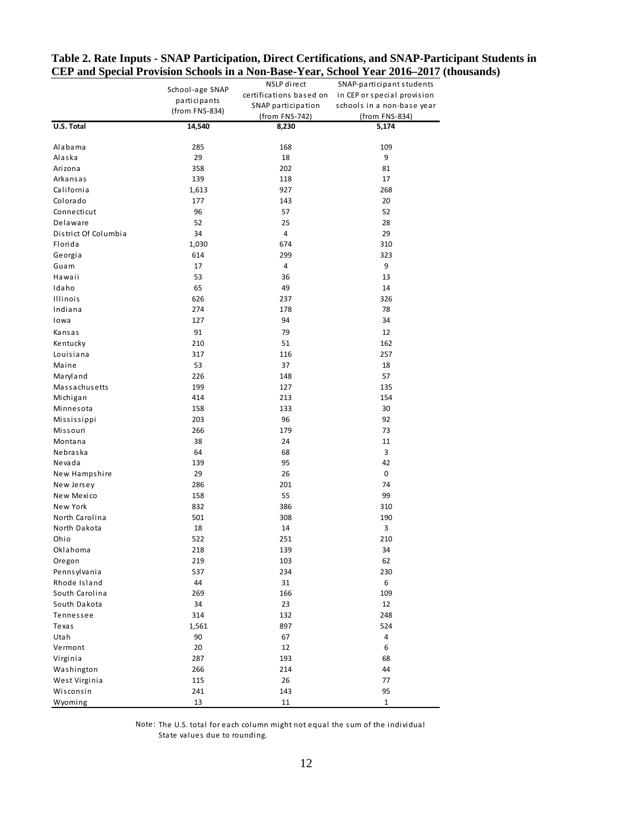|                      | School-age SNAP | NSLP direct             | SNAP-participant students   |
|----------------------|-----------------|-------------------------|-----------------------------|
|                      |                 | certifications based on | in CEP or special provision |
|                      | participants    | SNAP participation      | schools in a non-base year  |
|                      | (from FNS-834)  | (from FNS-742)          | (from FNS-834)              |
| U.S. Total           | 14,540          | 8,230                   | 5,174                       |
| Alabama              | 285             | 168                     | 109                         |
| Alaska               | 29              | 18                      | 9                           |
| Arizona              | 358             | 202                     | 81                          |
| Arkansas             | 139             | 118                     | 17                          |
| California           | 1,613           | 927                     | 268                         |
| Colorado             | 177             | 143                     | 20                          |
| Connecticut          | 96              | 57                      | 52                          |
| Delaware             | 52              | 25                      | 28                          |
| District Of Columbia | 34              | 4                       | 29                          |
| Florida              | 1,030           | 674                     | 310                         |
| Georgia              | 614             | 299                     | 323                         |
| Guam                 | 17              | 4                       | 9                           |
| Hawaii               | 53              | 36                      | 13                          |
| Idaho                | 65              | 49                      | 14                          |
| <b>Illinois</b>      | 626             | 237                     | 326                         |
| Indiana              | 274             | 178                     | 78                          |
| Iowa                 | 127             | 94                      | 34                          |
| Kansas               | 91              | 79                      | 12                          |
| Kentucky             | 210             | 51                      | 162                         |
| Louisiana            | 317             | 116                     | 257                         |
| Maine                | 53              | 37                      | 18                          |
| Maryland             | 226             | 148                     | 57                          |
| Massachusetts        | 199             | 127                     | 135                         |
| Michigan             | 414             | 213                     | 154                         |
| Minnesota            | 158             | 133                     | 30                          |
| Mississippi          | 203             | 96                      | 92                          |
| Missouri             | 266             | 179                     | 73                          |
| Montana              | 38              | 24                      | 11                          |
| Nebraska             | 64              | 68                      | 3                           |
| Nevada               | 139             | 95                      | 42                          |
| New Hampshire        | 29              | 26                      | 0                           |
| New Jersey           | 286             | 201                     | 74                          |
| New Mexico           | 158             | 55                      | 99                          |
| New York             | 832             | 386                     | 310                         |
| North Carolina       | 501             | 308                     | 190                         |
| North Dakota         | 18              | 14                      | 3                           |
| Ohio                 | 522             | 251                     | 210                         |
| Oklahoma             | 218             | 139                     | 34                          |
| Oregon               | 219             | 103                     | 62                          |
| Pennsylvania         | 537             | 234                     | 230                         |
| Rhode Island         | 44              | 31                      | 6                           |
| South Carolina       | 269             | 166                     | 109                         |
| South Dakota         | 34              | 23                      | 12                          |
| Tennessee            | 314             | 132                     | 248                         |
| Texas                | 1,561           | 897                     | 524                         |
| Utah                 | 90              | 67                      | 4                           |
| Vermont              | 20              | 12                      | 6                           |
| Virginia             | 287             | 193                     | 68                          |
| Washington           | 266             | 214                     | 44                          |
| West Virginia        | 115             | 26                      | 77                          |
| Wisconsin            | 241             | 143                     | 95                          |
| Wyoming              | 13              | 11                      | $\mathbf{1}$                |

# **Table 2. Rate Inputs - SNAP Participation, Direct Certifications, and SNAP-Participant Students in CEP and Special Provision Schools in a Non-Base-Year, School Year 2016–2017 (thousands)**

Note: The U.S. total for each column might not equal the sum of the individual State values due to rounding.